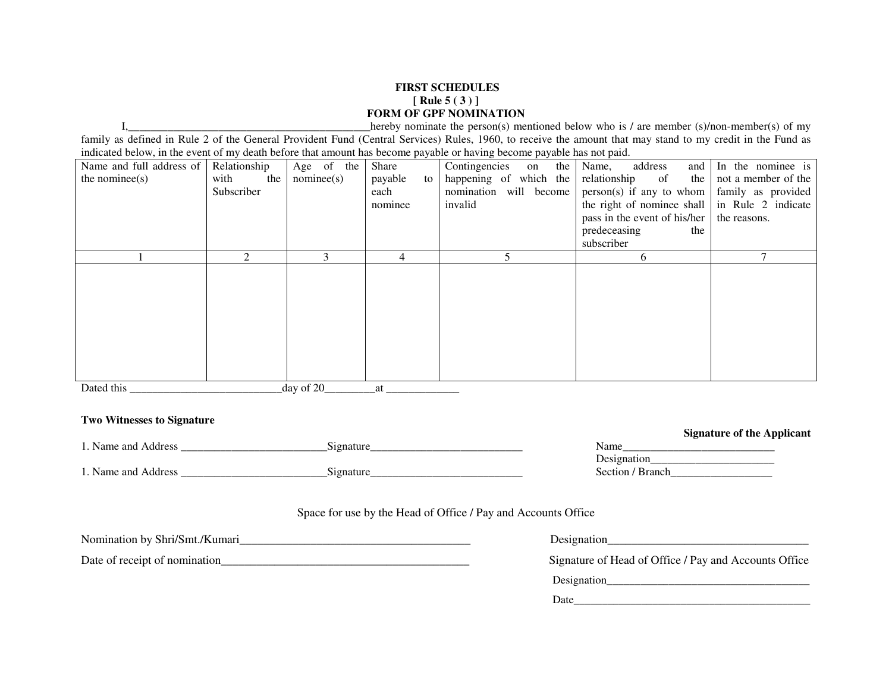## **FIRST SCHEDULES [ Rule 5 ( 3 ) ] FORM OF GPF NOMINATION**

I,\_\_\_\_\_\_\_\_\_\_\_\_\_\_\_\_\_\_\_\_\_\_\_\_\_\_\_\_\_\_\_\_\_\_\_\_\_\_\_\_\_\_\_hereby nominate the person(s) mentioned below who is / are member (s)/non-member(s) of my family as defined in Rule 2 of the General Provident Fund (Central Services) Rules, 1960, to receive the amount that may stand to my credit in the Fund as indicated below, in the event of my death before that amount has become payable or having become payable has not paid.

| Name and full address of<br>the nominee(s) | Relationship<br>with<br>the<br>Subscriber | Age of the<br>nominee(s) | Share<br>payable<br>to 1<br>each<br>nominee | Contingencies<br>the 1<br>on<br>happening of which the<br>nomination will become<br>invalid | Name,<br>address<br>relationship<br><sub>of</sub><br>$person(s)$ if any to whom   family as provided<br>the right of nominee shall $\vert$ in Rule 2 indicate<br>pass in the event of his/her<br>predeceasing<br>the<br>subscriber | and In the nominee is<br>the not a member of the<br>the reasons. |
|--------------------------------------------|-------------------------------------------|--------------------------|---------------------------------------------|---------------------------------------------------------------------------------------------|------------------------------------------------------------------------------------------------------------------------------------------------------------------------------------------------------------------------------------|------------------------------------------------------------------|
|                                            | $\mathcal{D}_{\mathcal{L}}$               | 3                        | 4                                           |                                                                                             | 6                                                                                                                                                                                                                                  | $\mathcal{L}$                                                    |
|                                            |                                           |                          |                                             |                                                                                             |                                                                                                                                                                                                                                    |                                                                  |
| Dated this                                 |                                           | day of 20                | at                                          |                                                                                             |                                                                                                                                                                                                                                    |                                                                  |

## **Two Witnesses to Signature**

|                                  |           | <b>Digital of the inperiodic</b> |
|----------------------------------|-----------|----------------------------------|
| Name and $\epsilon$ .<br>Address | 31gnature | Name                             |
|                                  |           | Designation                      |
| Name and $\epsilon$ .<br>Address | 1gnature  | Section /<br><b>Branch</b>       |

## Space for use by the Head of Office / Pay and Accounts Office

| Designation                                           |
|-------------------------------------------------------|
| Signature of Head of Office / Pay and Accounts Office |
| Designation                                           |
| Date                                                  |
|                                                       |

**Signature of the Applicant**